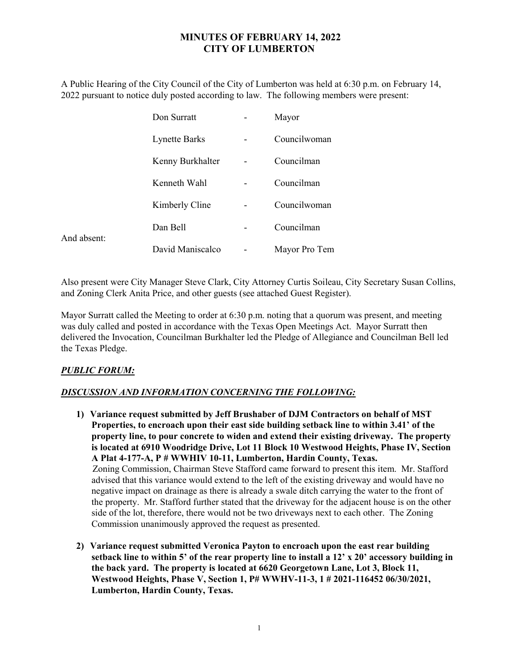## MINUTES OF FEBRUARY 14, 2022 CITY OF LUMBERTON

A Public Hearing of the City Council of the City of Lumberton was held at 6:30 p.m. on February 14, 2022 pursuant to notice duly posted according to law. The following members were present:

|             | Don Surratt          | Mayor         |
|-------------|----------------------|---------------|
|             | <b>Lynette Barks</b> | Councilwoman  |
|             | Kenny Burkhalter     | Councilman    |
|             | Kenneth Wahl         | Councilman    |
|             | Kimberly Cline       | Councilwoman  |
| And absent: | Dan Bell             | Councilman    |
|             | David Maniscalco     | Mayor Pro Tem |

Also present were City Manager Steve Clark, City Attorney Curtis Soileau, City Secretary Susan Collins, and Zoning Clerk Anita Price, and other guests (see attached Guest Register).

Mayor Surratt called the Meeting to order at 6:30 p.m. noting that a quorum was present, and meeting was duly called and posted in accordance with the Texas Open Meetings Act. Mayor Surratt then delivered the Invocation, Councilman Burkhalter led the Pledge of Allegiance and Councilman Bell led the Texas Pledge.

## PUBLIC FORUM:

## DISCUSSION AND INFORMATION CONCERNING THE FOLLOWING:

- 1) Variance request submitted by Jeff Brushaber of DJM Contractors on behalf of MST Properties, to encroach upon their east side building setback line to within 3.41' of the property line, to pour concrete to widen and extend their existing driveway. The property is located at 6910 Woodridge Drive, Lot 11 Block 10 Westwood Heights, Phase IV, Section A Plat 4-177-A, P # WWHIV 10-11, Lumberton, Hardin County, Texas. Zoning Commission, Chairman Steve Stafford came forward to present this item. Mr. Stafford advised that this variance would extend to the left of the existing driveway and would have no negative impact on drainage as there is already a swale ditch carrying the water to the front of the property. Mr. Stafford further stated that the driveway for the adjacent house is on the other side of the lot, therefore, there would not be two driveways next to each other. The Zoning Commission unanimously approved the request as presented.
- 2) Variance request submitted Veronica Payton to encroach upon the east rear building setback line to within 5' of the rear property line to install a  $12' \times 20'$  accessory building in the back yard. The property is located at 6620 Georgetown Lane, Lot 3, Block 11, Westwood Heights, Phase V, Section 1, P# WWHV-11-3, 1 # 2021-116452 06/30/2021, Lumberton, Hardin County, Texas.